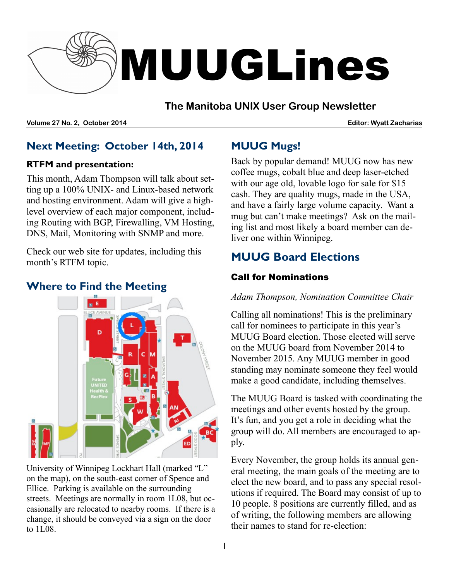

#### **The Manitoba UNIX User Group Newsletter**

**Volume 27 No. 2, October 2014 Editor: Wyatt Zacharias**

### **Next Meeting: October 14th, 2014**

#### **RTFM and presentation:**

This month, Adam Thompson will talk about setting up a 100% UNIX- and Linux-based network and hosting environment. Adam will give a highlevel overview of each major component, including Routing with BGP, Firewalling, VM Hosting, DNS, Mail, Monitoring with SNMP and more.

Check our web site for updates, including this month's RTFM topic.

### **Where to Find the Meeting**



University of Winnipeg Lockhart Hall (marked "L" on the map), on the south-east corner of Spence and Ellice. Parking is available on the surrounding streets. Meetings are normally in room 1L08, but occasionally are relocated to nearby rooms. If there is a change, it should be conveyed via a sign on the door to 1L08.

## **MUUG Mugs!**

Back by popular demand! MUUG now has new coffee mugs, cobalt blue and deep laser-etched with our age old, lovable logo for sale for \$15 cash. They are quality mugs, made in the USA, and have a fairly large volume capacity. Want a mug but can't make meetings? Ask on the mailing list and most likely a board member can deliver one within Winnipeg.

# **MUUG Board Elections**

#### Call for Nominations

#### *Adam Thompson, Nomination Committee Chair*

Calling all nominations! This is the preliminary call for nominees to participate in this year's MUUG Board election. Those elected will serve on the MUUG board from November 2014 to November 2015. Any MUUG member in good standing may nominate someone they feel would make a good candidate, including themselves.

The MUUG Board is tasked with coordinating the meetings and other events hosted by the group. It's fun, and you get a role in deciding what the group will do. All members are encouraged to apply.

Every November, the group holds its annual general meeting, the main goals of the meeting are to elect the new board, and to pass any special resolutions if required. The Board may consist of up to 10 people. 8 positions are currently filled, and as of writing, the following members are allowing their names to stand for re-election: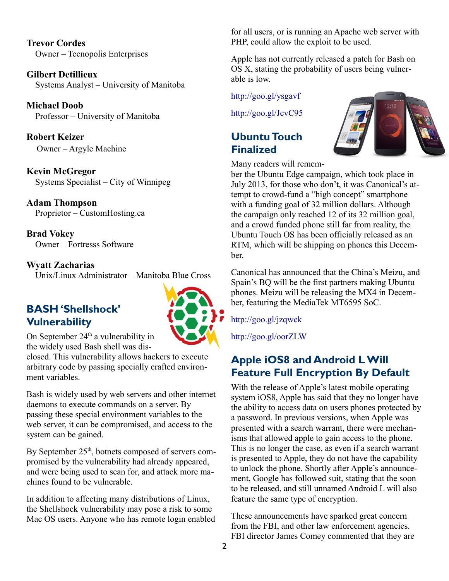**Trevor Cordes** Owner – Tecnopolis Enterprises

**Gilbert Detillieux** Systems Analyst – University of Manitoba

**Michael Doob** Professor – University of Manitoba

**Robert Keizer** Owner – Argyle Machine

**Kevin McGregor** Systems Specialist – City of Winnipeg

#### **Adam Thompson** Proprietor – CustomHosting.ca

**Brad Vokey** Owner – Fortresss Software

#### **Wyatt Zacharias**

Unix/Linux Administrator – Manitoba Blue Cross

## **BASH 'Shellshock' Vulnerability**



On September  $24<sup>th</sup>$  a vulnerability in the widely used Bash shell was dis-

closed. This vulnerability allows hackers to execute arbitrary code by passing specially crafted environment variables.

Bash is widely used by web servers and other internet daemons to execute commands on a server. By passing these special environment variables to the web server, it can be compromised, and access to the system can be gained.

By September  $25<sup>th</sup>$ , botnets composed of servers compromised by the vulnerability had already appeared, and were being used to scan for, and attack more machines found to be vulnerable.

In addition to affecting many distributions of Linux, the Shellshock vulnerability may pose a risk to some Mac OS users. Anyone who has remote login enabled for all users, or is running an Apache web server with PHP, could allow the exploit to be used.

Apple has not currently released a patch for Bash on OS X, stating the probability of users being vulnerable is low.

<http://goo.gl/ysgavf>

<http://goo.gl/JcvC95>

### **Ubuntu Touch Finalized**



Many readers will remem-

ber the Ubuntu Edge campaign, which took place in July 2013, for those who don't, it was Canonical's attempt to crowd-fund a "high concept" smartphone with a funding goal of 32 million dollars. Although the campaign only reached 12 of its 32 million goal, and a crowd funded phone still far from reality, the Ubuntu Touch OS has been officially released as an RTM, which will be shipping on phones this December.

Canonical has announced that the China's Meizu, and Spain's BQ will be the first partners making Ubuntu phones. Meizu will be releasing the MX4 in December, featuring the MediaTek MT6595 SoC.

<http://goo.gl/jzqwck>

<http://goo.gl/oorZLW>

## **Apple iOS8 and Android L Will Feature Full Encryption By Default**

With the release of Apple's latest mobile operating system iOS8, Apple has said that they no longer have the ability to access data on users phones protected by a password. In previous versions, when Apple was presented with a search warrant, there were mechanisms that allowed apple to gain access to the phone. This is no longer the case, as even if a search warrant is presented to Apple, they do not have the capability to unlock the phone. Shortly after Apple's announcement, Google has followed suit, stating that the soon to be released, and still unnamed Android L will also feature the same type of encryption.

These announcements have sparked great concern from the FBI, and other law enforcement agencies. FBI director James Comey commented that they are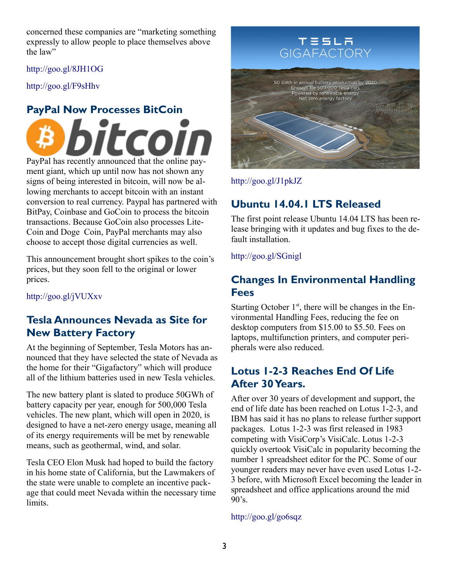concerned these companies are "marketing something expressly to allow people to place themselves above the law"

#### <http://goo.gl/8JH1OG>

<http://goo.gl/F9sHhv>

# **PayPal Now Processes BitCoin**

coi. PayPal has recently announced that the online pay-

ment giant, which up until now has not shown any signs of being interested in bitcoin, will now be allowing merchants to accept bitcoin with an instant conversion to real currency. Paypal has partnered with BitPay, Coinbase and GoCoin to process the bitcoin transactions. Because GoCoin also processes Lite-Coin and Doge Coin, PayPal merchants may also choose to accept those digital currencies as well.

This announcement brought short spikes to the coin's prices, but they soon fell to the original or lower prices.

<http://goo.gl/jVUXxv>

### **Tesla Announces Nevada as Site for New Battery Factory**

At the beginning of September, Tesla Motors has announced that they have selected the state of Nevada as the home for their "Gigafactory" which will produce all of the lithium batteries used in new Tesla vehicles.

The new battery plant is slated to produce 50GWh of battery capacity per year, enough for 500,000 Tesla vehicles. The new plant, which will open in 2020, is designed to have a net-zero energy usage, meaning all of its energy requirements will be met by renewable means, such as geothermal, wind, and solar.

Tesla CEO Elon Musk had hoped to build the factory in his home state of California, but the Lawmakers of the state were unable to complete an incentive package that could meet Nevada within the necessary time limits.

# **TESLA** GIGAFACTORY



<http://goo.gl/J1pkJZ>

### **Ubuntu 14.04.1 LTS Released**

The first point release Ubuntu 14.04 LTS has been release bringing with it updates and bug fixes to the default installation.

<http://goo.gl/SGnigl>

### **Changes In Environmental Handling Fees**

Starting October  $1<sup>st</sup>$ , there will be changes in the Environmental Handling Fees, reducing the fee on desktop computers from \$15.00 to \$5.50. Fees on laptops, multifunction printers, and computer peripherals were also reduced.

### **Lotus 1-2-3 Reaches End Of Life After 30 Years.**

After over 30 years of development and support, the end of life date has been reached on Lotus 1-2-3, and IBM has said it has no plans to release further support packages. Lotus 1-2-3 was first released in 1983 competing with VisiCorp's VisiCalc. Lotus 1-2-3 quickly overtook VisiCalc in popularity becoming the number 1 spreadsheet editor for the PC. Some of our younger readers may never have even used Lotus 1-2- 3 before, with Microsoft Excel becoming the leader in spreadsheet and office applications around the mid  $90's$ .

<http://goo.gl/go6sqz>